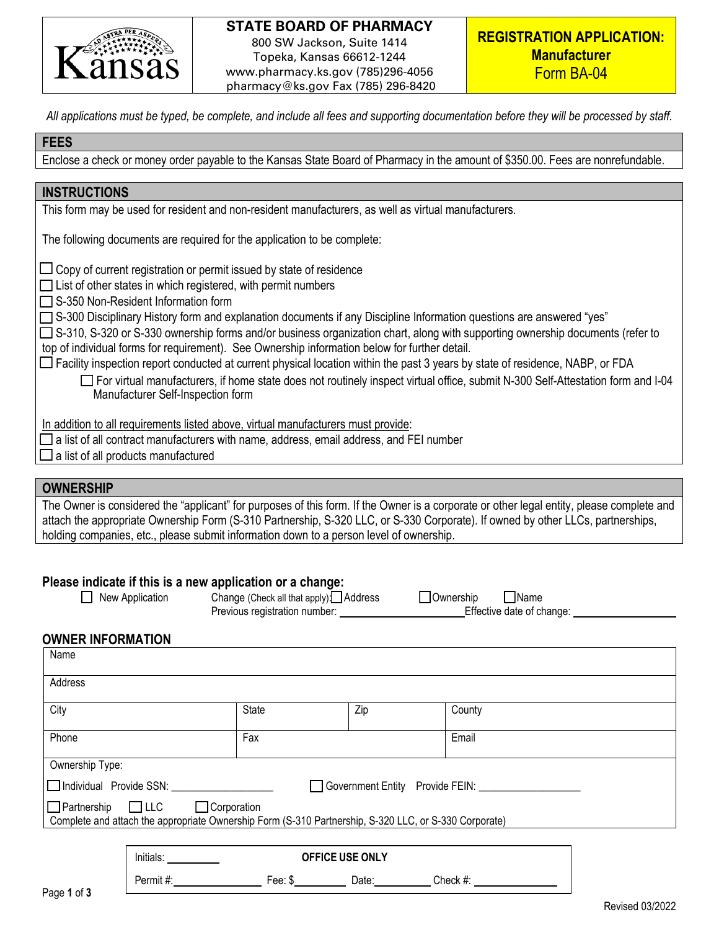

## **STATE BOARD OF PHARMACY** 800 SW Jackson, Suite 1414 Topeka, Kansas 66612-1244 www.pharmacy.ks.gov (785)296-4056

pharmacy@ks.gov Fax (785) 296-8420

**REGISTRATION APPLICATION: Manufacturer** Form BA-04

*All applications must be typed, be complete, and include all fees and supporting documentation before they will be processed by staff.* 

# **FEES**

Enclose a check or money order payable to the Kansas State Board of Pharmacy in the amount of \$350.00. Fees are nonrefundable.

### **INSTRUCTIONS**

This form may be used for resident and non-resident manufacturers, as well as virtual manufacturers.

The following documents are required for the application to be complete:

 $\Box$  Copy of current registration or permit issued by state of residence

 $\Box$  List of other states in which registered, with permit numbers

 $\Box$  S-350 Non-Resident Information form

S-300 Disciplinary History form and explanation documents if any Discipline Information questions are answered "yes"

 S-310, S-320 or S-330 ownership forms and/or business organization chart, along with supporting ownership documents (refer to top of individual forms for requirement). See Ownership information below for further detail.

 $\Box$  Facility inspection report conducted at current physical location within the past 3 years by state of residence, NABP, or FDA For virtual manufacturers, if home state does not routinely inspect virtual office, submit N-300 Self-Attestation form and I-04 Manufacturer Self-Inspection form

In addition to all requirements listed above, virtual manufacturers must provide:

- $\Box$  a list of all contract manufacturers with name, address, email address, and FEI number
- $\Box$  a list of all products manufactured

#### **OWNERSHIP**

The Owner is considered the "applicant" for purposes of this form. If the Owner is a corporate or other legal entity, please complete and attach the appropriate Ownership Form (S-310 Partnership, S-320 LLC, or S-330 Corporate). If owned by other LLCs, partnerships, holding companies, etc., please submit information down to a person level of ownership.

# **Please indicate if this is a new application or a change:**

- 
- Previous registration number: Effective date of change:

Permit #: Fee: \$ Date: Check #:

| New Application | Change (Check all that apply): Address | Ownership | $\Box$ Name          |
|-----------------|----------------------------------------|-----------|----------------------|
|                 | Previous registration number:          |           | Effective date of cl |

#### **OWNER INFORMATION**

| Name                                                                                                                                                         |           |                        |     |        |  |
|--------------------------------------------------------------------------------------------------------------------------------------------------------------|-----------|------------------------|-----|--------|--|
| Address                                                                                                                                                      |           |                        |     |        |  |
| City                                                                                                                                                         |           | State                  | Zip | County |  |
| Phone                                                                                                                                                        |           | Fax                    |     | Email  |  |
| Ownership Type:                                                                                                                                              |           |                        |     |        |  |
| □ Individual Provide SSN:<br>Government Entity Provide FEIN:                                                                                                 |           |                        |     |        |  |
| $\Box$ Partnership $\Box$ LLC<br>$\Box$ Corporation<br>Complete and attach the appropriate Ownership Form (S-310 Partnership, S-320 LLC, or S-330 Corporate) |           |                        |     |        |  |
|                                                                                                                                                              |           |                        |     |        |  |
|                                                                                                                                                              | Initials: | <b>OFFICE USE ONLY</b> |     |        |  |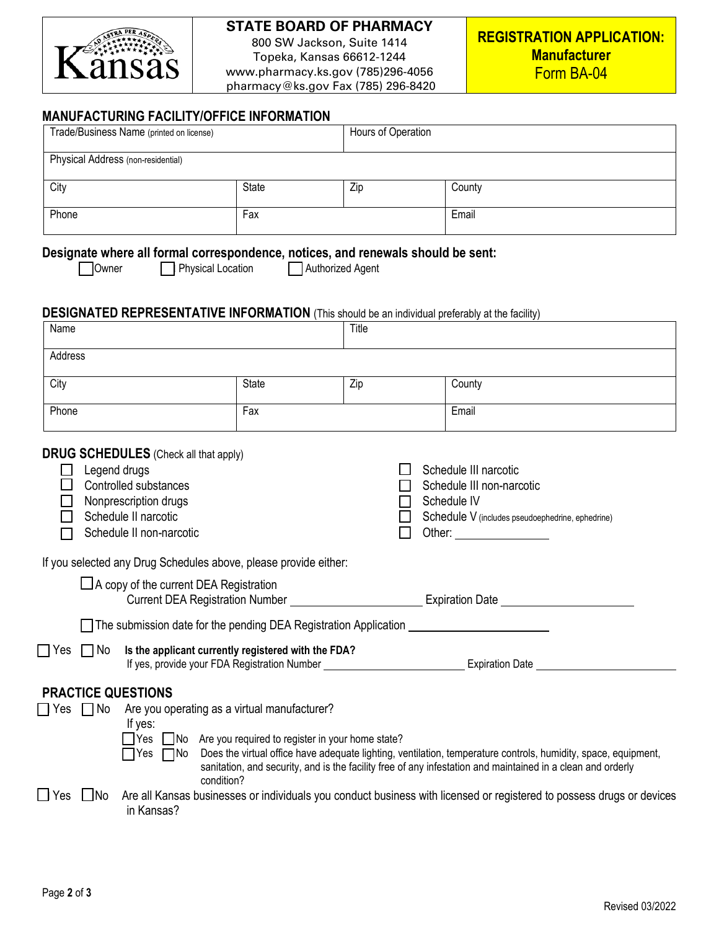

# **STATE BOARD OF PHARMACY**

800 SW Jackson, Suite 1414 Topeka, Kansas 66612-1244 www.pharmacy.ks.gov (785)296-4056 pharmacy@ks.gov Fax (785) 296-8420

## **MANUFACTURING FACILITY/OFFICE INFORMATION**

| Trade/Business Name (printed on license)                                                                                                                                                                                                                                                                                                                                                                                                                                                                                                        |                                                                                                                   |                  | Hours of Operation |                                                                                                                                                                                                                                                                                                                                                                 |
|-------------------------------------------------------------------------------------------------------------------------------------------------------------------------------------------------------------------------------------------------------------------------------------------------------------------------------------------------------------------------------------------------------------------------------------------------------------------------------------------------------------------------------------------------|-------------------------------------------------------------------------------------------------------------------|------------------|--------------------|-----------------------------------------------------------------------------------------------------------------------------------------------------------------------------------------------------------------------------------------------------------------------------------------------------------------------------------------------------------------|
| Physical Address (non-residential)                                                                                                                                                                                                                                                                                                                                                                                                                                                                                                              |                                                                                                                   |                  |                    |                                                                                                                                                                                                                                                                                                                                                                 |
| City                                                                                                                                                                                                                                                                                                                                                                                                                                                                                                                                            | State                                                                                                             | Zip              |                    | County                                                                                                                                                                                                                                                                                                                                                          |
| Phone                                                                                                                                                                                                                                                                                                                                                                                                                                                                                                                                           | Fax                                                                                                               |                  |                    | Email                                                                                                                                                                                                                                                                                                                                                           |
| Designate where all formal correspondence, notices, and renewals should be sent:<br>Owner                                                                                                                                                                                                                                                                                                                                                                                                                                                       | Physical Location                                                                                                 | Authorized Agent |                    |                                                                                                                                                                                                                                                                                                                                                                 |
| <b>DESIGNATED REPRESENTATIVE INFORMATION</b> (This should be an individual preferably at the facility)<br>Title<br>Name                                                                                                                                                                                                                                                                                                                                                                                                                         |                                                                                                                   |                  |                    |                                                                                                                                                                                                                                                                                                                                                                 |
| Address                                                                                                                                                                                                                                                                                                                                                                                                                                                                                                                                         |                                                                                                                   |                  |                    |                                                                                                                                                                                                                                                                                                                                                                 |
| City                                                                                                                                                                                                                                                                                                                                                                                                                                                                                                                                            | State                                                                                                             | Zip              |                    | County                                                                                                                                                                                                                                                                                                                                                          |
| Phone                                                                                                                                                                                                                                                                                                                                                                                                                                                                                                                                           | Fax                                                                                                               |                  |                    | Email                                                                                                                                                                                                                                                                                                                                                           |
| <b>DRUG SCHEDULES</b> (Check all that apply)<br>Legend drugs<br>Schedule III narcotic<br>Controlled substances<br>Schedule III non-narcotic<br>Nonprescription drugs<br>Schedule IV<br>Schedule II narcotic<br>Schedule V (includes pseudoephedrine, ephedrine)<br>Schedule II non-narcotic<br>Other: __________________<br>If you selected any Drug Schedules above, please provide either:<br>□ A copy of the current DEA Registration<br>Current DEA Registration Number _______________________________Expiration Date ____________________ |                                                                                                                   |                  |                    |                                                                                                                                                                                                                                                                                                                                                                 |
| $\Box$ Yes $\Box$ No Is the applicant currently registered with the FDA?<br>If yes, provide your FDA Registration Number<br>Expiration Date National Assemblance Contractor                                                                                                                                                                                                                                                                                                                                                                     |                                                                                                                   |                  |                    |                                                                                                                                                                                                                                                                                                                                                                 |
| <b>PRACTICE QUESTIONS</b><br>Yes $\Box$ No<br>If yes:<br> Yes<br>$\Box$ No<br>Yes<br>in Kansas?                                                                                                                                                                                                                                                                                                                                                                                                                                                 | Are you operating as a virtual manufacturer?<br>No Are you required to register in your home state?<br>condition? |                  |                    | TYes TNo Does the virtual office have adequate lighting, ventilation, temperature controls, humidity, space, equipment,<br>sanitation, and security, and is the facility free of any infestation and maintained in a clean and orderly<br>Are all Kansas businesses or individuals you conduct business with licensed or registered to possess drugs or devices |